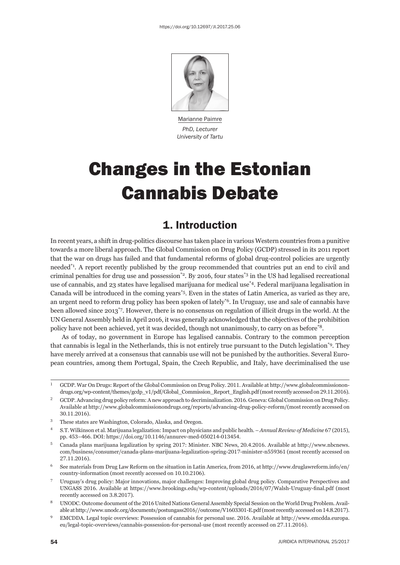

Marianne Paimre *PhD, Lecturer University of Tartu*

# Changes in the Estonian Cannabis Debate

### 1. Introduction

In recent years, a shift in drug-politics discourse has taken place in various Western countries from a punitive towards a more liberal approach. The Global Commission on Drug Policy (GCDP) stressed in its 2011 report that the war on drugs has failed and that fundamental reforms of global drug-control policies are urgently needed\*1. A report recently published by the group recommended that countries put an end to civil and criminal penalties for drug use and possession<sup>\*2</sup>. By 2016, four states<sup>\*3</sup> in the US had legalised recreational use of cannabis, and 23 states have legalised marijuana for medical use\*4. Federal marijuana legalisation in Canada will be introduced in the coming years\*5. Even in the states of Latin America, as varied as they are, an urgent need to reform drug policy has been spoken of lately\*6. In Uruguay, use and sale of cannabis have been allowed since 2013\*7. However, there is no consensus on regulation of illicit drugs in the world. At the UN General Assembly held in April 2016, it was generally acknowledged that the objectives of the prohibition policy have not been achieved, yet it was decided, though not unanimously, to carry on as before\*8.

As of today, no government in Europe has legalised cannabis. Contrary to the common perception that cannabis is legal in the Netherlands, this is not entirely true pursuant to the Dutch legislation\*9. They have merely arrived at a consensus that cannabis use will not be punished by the authorities. Several European countries, among them Portugal, Spain, the Czech Republic, and Italy, have decriminalised the use

<sup>&</sup>lt;sup>1</sup> GCDP. War On Drugs: Report of the Global Commission on Drug Policy. 2011. Available at http://www.globalcommissionondrugs.org/wp-content/themes/gcdp\_v1/pdf/Global\_Commission\_Report\_English.pdf (most recently accessed on 29.11.2016).

<sup>&</sup>lt;sup>2</sup> GCDP. Advancing drug policy reform: A new approach to decriminalization. 2016. Geneva: Global Commission on Drug Policy. Available at http://www.globalcommissionondrugs.org/reports/advancing-drug-policy-reform/(most recently accessed on 30.11.2016).

<sup>ɴ</sup> These states are Washington, Colorado, Alaska, and Oregon.

<sup>&</sup>lt;sup>4</sup> S.T. Wilkinson et al. Marijuana legalization: Impact on physicians and public health. – *Annual Review of Medicine* 67 (2015), pp. 453-466. DOI: https://doi.org/10.1146/annurev-med-050214-013454.

 $5$  Canada plans marijuana legalization by spring 2017; Minister. NBC News, 20.4.2016. Available at http://www.nbcnews. com/business/consumer/canada-plans-marijuana-legalization-spring-2017-minister-n559361 (most recently accessed on 27.11.2016).

 $6$  See materials from Drug Law Reform on the situation in Latin America, from 2016, at http://www.druglawreform.info/en/ country-information (most recently accessed on 10.10.2106).

<sup>ɸ</sup> Uruguay's drug policy: Major innovations, major challenges: Improving global drug policy. Comparative Perspectives and UNGASS 2016. Available at https://www.brookings.edu/wp-content/uploads/2016/07/Walsh-Uruguay-final.pdf (most recently accessed on 3.8.2017).

<sup>&</sup>lt;sup>8</sup> UNODC. Outcome document of the 2016 United Nations General Assembly Special Session on the World Drug Problem. Available at http://www.unodc.org/documents/postungass2016//outcome/V1603301-E.pdf (most recently accessed on 14.8.2017).

<sup>&</sup>lt;sup>9</sup> EMCDDA. Legal topic overviews: Possession of cannabis for personal use. 2016. Available at http://www.emcdda.europa. eu/legal-topic-overviews/cannabis-possession-for-personal-use (most recently accessed on 27.11.2016).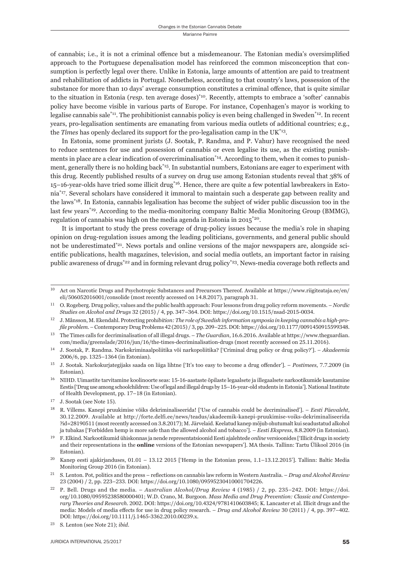of cannabis; i.e., it is not a criminal offence but a misdemeanour. The Estonian media's oversimplified approach to the Portuguese depenalisation model has reinforced the common misconception that consumption is perfectly legal over there. Unlike in Estonia, large amounts of attention are paid to treatment and rehabilitation of addicts in Portugal. Nonetheless, according to that country's laws, possession of the substance for more than 10 days' average consumption constitutes a criminal offence, that is quite similar to the situation in Estonia (*resp*. ten average doses)\*10. Recently, attempts to embrace a 'softer' cannabis policy have become visible in various parts of Europe. For instance, Copenhagen's mayor is working to legalise cannabis sale<sup>\*11</sup>. The prohibitionist cannabis policy is even being challenged in Sweden<sup>\*12</sup>. In recent years, pro-legalisation sentiments are emanating from various media outlets of additional countries; e.g., the *Times* has openly declared its support for the pro-legalisation camp in the UK\*13.

In Estonia, some prominent jurists (J. Sootak, P. Randma, and P. Vahur) have recognised the need to reduce sentences for use and possession of cannabis or even legalise its use, as the existing punishments in place are a clear indication of overcriminalisation<sup>\*14</sup>. According to them, when it comes to punishment, generally there is no holding back\*15. In substantial numbers, Estonians are eager to experiment with this drug. Recently published results of a survey on drug use among Estonian students reveal that 38% of 15–16-year-olds have tried some illicit drug\*16. Hence, there are quite a few potential lawbreakers in Estonia\*17. Several scholars have considered it immoral to maintain such a desperate gap between reality and the laws\*18. In Estonia, cannabis legalisation has become the subject of wider public discussion too in the last few years<sup>\*19</sup>. According to the media-monitoring company Baltic Media Monitoring Group (BMMG), regulation of cannabis was high on the media agenda in Estonia in  $2015^{20}$ .

It is important to study the press coverage of drug-policy issues because the media's role in shaping opinion on drug-regulation issues among the leading politicians, governments, and general public should not be underestimated $2<sup>21</sup>$ . News portals and online versions of the major newspapers are, alongside scientific publications, health magazines, television, and social media outlets, an important factor in raising public awareness of drugs<sup>\*22</sup> and in forming relevant drug policy<sup>\*23</sup>. News-media coverage both reflects and

 $20$  Kanep eesti ajakirjanduses,  $01.01 - 13.12$   $2015$  ['Hemp in the Estonian press,  $1.1-13.12.2015$ ']. Tallinn: Baltic Media Monitoring Group 2016 (in Estonian).

<sup>&</sup>lt;sup>10</sup> Act on Narcotic Drugs and Psychotropic Substances and Precursors Thereof. Available at https://www.riigiteataja.ee/en/ eli/506052016001/consolide (most recently accessed on 14.8.2017), paragraph 31.

O. Rogeberg. Drug policy, values and the public health approach: Four lessons from drug policy reform movements. - *Nordic Studies on Alcohol and Drugs 32 (2015)* / 4, pp. 347-364. DOI: https://doi.org/10.1515/nsad-2015-0034.

ɲɳ J. Månsson, M. Ekendahl. Protecting proh*ibition: The role of Swedish information symposia in keeping cannabis a high-profile problem. – Contemporary Drug Problems 42 (2015) / 3, pp. 209–225. DOI: https://doi.org/10.1177/0091450915599348.* 

<sup>&</sup>lt;sup>13</sup> The Times calls for decriminalisation of all illegal drugs. – *The Guardian*, 16.6.2016. Available at https://www.theguardian. com/media/greenslade/2016/jun/16/the-times-decriminalisation-drugs (most recently accessed on 25.11.2016).

ɲɵ J. Sootak, P. Randma. Narkokriminaalpoliitika või narkopoliitika? ['Criminal drug policy or drug policy?']. – *Akadeemia* 2006/6, pp. 1325-1364 (in Estonian).

<sup>&</sup>lt;sup>15</sup> J. Sootak. Narkokurjategijaks saada on liiga lihtne ['It's too easy to become a drug offender']. – *Postimees*, 7.7.2009 (in Estonian).

<sup>&</sup>lt;sup>16</sup> NIHD. Uimastite tarvitamine koolinoorte seas: 15-16-aastaste õpilaste legaalsete ja illegaalsete narkootikumide kasutamine Eestis ['Drug use among schoolchildren: Use of legal and illegal drugs by 15-16-year-old students in Estonia']. National Institute of Health Development, pp. 17-18 (in Estonian).

 $17$  J. Sootak (see Note 15).

ɲɹ R. Villems. Kanepi pruukimise võiks dekriminaliseerida! ['Use of cannabis could be decriminalised']. – *Eesti Päevaleht*, 30.12.2009. Available at http://forte.delfi.ee/news/teadus/akadeemik-kanepi-pruukimise-voiks-dekriminaliseerida ?id=28190511 (most recently accessed on 3.8.2017); M. Järvelaid. Keelatud kanep mõjub ohutumalt kui seadustatud alkohol ja tubakas ['Forbidden hemp is more safe than the allowed alcohol and tobacco']. – *Eesti Ekspress*, 8.8.2009 (in Estonian).

ɲɺ F. Elkind. Narkootikumid ühiskonnas ja nende representatsioonid Eesti ajalehtede *online* versioonides ['Illicit drugs in society and their representations in the **online** versions of the Estonian newspapers']. MA thesis. Tallinn: Tartu Ülikool 2016 (in Estonian).

<sup>&</sup>lt;sup>21</sup> S. Lenton. Pot, politics and the press – reflections on cannabis law reform in Western Australia. – *Drug and Alcohol Review* 23 (2004) / 2, pp. 223-233. DOI: https://doi.org/10.1080/09595230410001704226.

<sup>&</sup>lt;sup>22</sup> P. Bell. Drugs and the media. – *Australian Alcohol/Drug Review* 4 (1985) / 2, pp. 235–242. DOI: https://doi. org/10.1080/09595238580000401; W.D. Crano, M. Burgoon. *Mass Media and Drug Prevention: Classic and Contemporary Theories and Research.* 2002. DOI: https://doi.org/10.4324/9781410603845; K. Lancaster et al. Illicit drugs and the media: Models of media effects for use in drug policy research. – *Drug and Alcohol Review* 30 (2011) / 4, pp. 397-402. DOI: https://doi.org/10.1111/j.1465-3362.2010.00239.x.

<sup>&</sup>lt;sup>23</sup> S. Lenton (see Note 21); *ibid.*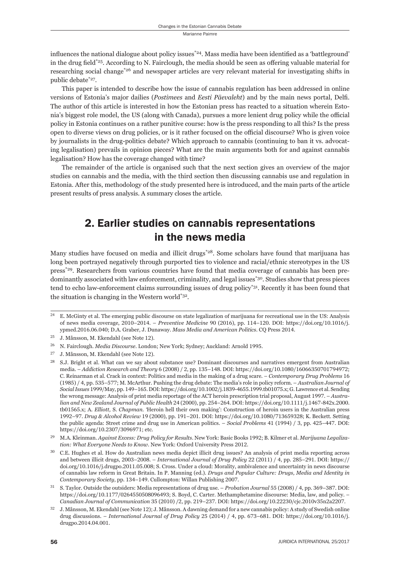influences the national dialogue about policy issues<sup>\*24</sup>. Mass media have been identified as a 'battleground' in the drug field\*<sup>25</sup>. According to N. Fairclough, the media should be seen as offering valuable material for researching social change\*26 and newspaper articles are very relevant material for investigating shifts in public debate\*27.

This paper is intended to describe how the issue of cannabis regulation has been addressed in online versions of Estonia's major dailies (*Postimees* and *Eesti Päevaleht*) and by the main news portal, Delfi. The author of this article is interested in how the Estonian press has reacted to a situation wherein Estonia's biggest role model, the US (along with Canada), pursues a more lenient drug policy while the official policy in Estonia continues on a rather punitive course: how is the press responding to all this? Is the press open to diverse views on drug policies, or is it rather focused on the official discourse? Who is given voice by journalists in the drug-politics debate? Which approach to cannabis (continuing to ban it vs. advocating legalisation) prevails in opinion pieces? What are the main arguments both for and against cannabis legalisation? How has the coverage changed with time?

The remainder of the article is organised such that the next section gives an overview of the major studies on cannabis and the media, with the third section then discussing cannabis use and regulation in Estonia. After this, methodology of the study presented here is introduced, and the main parts of the article present results of press analysis. A summary closes the article.

## 2. Earlier studies on cannabis representations in the news media

Many studies have focused on media and illicit drugs<sup>\*28</sup>. Some scholars have found that marijuana has long been portrayed negatively through purported ties to violence and racial/ethnic stereotypes in the US press\*29. Researchers from various countries have found that media coverage of cannabis has been predominantly associated with law enforcement, criminality, and legal issues<sup>\*30</sup>. Studies show that press pieces tend to echo law-enforcement claims surrounding issues of drug policy<sup>\*31</sup>. Recently it has been found that the situation is changing in the Western world\*32.

 $^{24}$  E. McGinty et al. The emerging public discourse on state legalization of marijuana for recreational use in the US: Analysis of news media coverage, 2010–2014. – *Preventive Medicine* 90 (2016), pp. 114–120. DOI: https://doi.org/10.1016/j. ypmed.2016.06.040; D.A. Graber, J. Dunaway. *Mass Media and American Politics*. CO Press 2014.

 $^{25}$  J. Månsson, M. Ekendahl (see Note 12).

<sup>&</sup>lt;sup>26</sup> N. Fairclough. *Media Discourse*. London; New York; Sydney; Auckland: Arnold 1995.

<sup>&</sup>lt;sup>27</sup> J. Månsson, M. Ekendahl (see Note 12).

<sup>&</sup>lt;sup>28</sup> S.J. Bright et al. What can we say about substance use? Dominant discourses and narratives emergent from Australian media. – *Addiction Research and Theory* 6 (2008) / 2, pp. 135–148. DOI: https://doi.org/10.1080/16066350701794972; C. Reinarman et al. Crack in context: Politics and media in the making of a drug scare. – *Contemporary Drug Problems* 16 (1985) / 4, pp. 535-577; M. McArthur. Pushing the drug debate: The media's role in policy reform. - Australian Journal of  $Social Issues$  1999/May, pp. 149-165. DOI: https://doi.org/10.1002/j.1839-4655.1999.tb01075.x; G. Lawrence et al. Sending the wrong message: Analysis of print media reportage of the ACT heroin prescription trial proposal, August 1997. – *Australian and New Zealand Journal of Public Health* 24 (2000), pp. 254–264. DOI: https://doi.org/10.1111/j.1467-842x.2000. tbɱɲɶɷɶ.x; A. *Elliott,* S. *Chapman. '*Heroin hell their own making': Construction of heroin users in the Australian press 1992–97. *Drug & Alcohol Review* 19 (2000), pp. 191–201. DOI: https://doi.org/10.1080/713659328; K. Beckett. Setting the public agenda: Street crime and drug use in American politics. – *Social Problems* 41 (1994) / 3, pp. 425-447. DOI: https://doi.org/10.2307/3096971; etc.

<sup>&</sup>lt;sup>29</sup> M.A. Kleinman. *Against Excess: Drug Policy for Results*. New York: Basic Books 1992; B. Kilmer et al. *Marijuana Legalization: What Everyone Needs to Know. New York: Oxford University Press 2012.* 

ɴɱ C.E. Hughes et al. How do Australian news media depict illicit drug issues? An analysis of print media reporting across and between illicit drugs, 2003–2008. – *International Journal of Drug Policy* 22 (2011) / 4, pp. 285–291. DOI: https:// doi.org/10.1016/j.drugpo.2011.05.008; S. Cross. Under a cloud: Morality, ambivalence and uncertainty in news discourse of cannabis law reform in Great Britain. In P. Manning (ed.). *Drugs and Popular Culture: Drugs, Media and Identity in Contemporary Society*, pp. 134-149. Cullompton: Willan Publishing 2007.

S. Taylor. Outside the outsiders: Media representations of drug use. – *Probation Journal* 55 (2008) / 4, pp. 369-387. DOI: https://doi.org/10.1177/0264550508096493; S. Boyd, C. Carter. Methamphetamine discourse: Media, law, and policy. – *Canadian Journal of Communication* 35 (2010) /2, pp. 219-237. DOI: https://doi.org/10.22230/cjc.2010v35n2a2207.

J. Månsson, M. Ekendahl (see Note 12); J. Månsson. A dawning demand for a new cannabis policy: A study of Swedish online drug discussions. – *International Journal of Drug Policy* 25 (2014) / 4, pp. 673-681. DOI: https://doi.org/10.1016/j. drugpo.2014.04.001.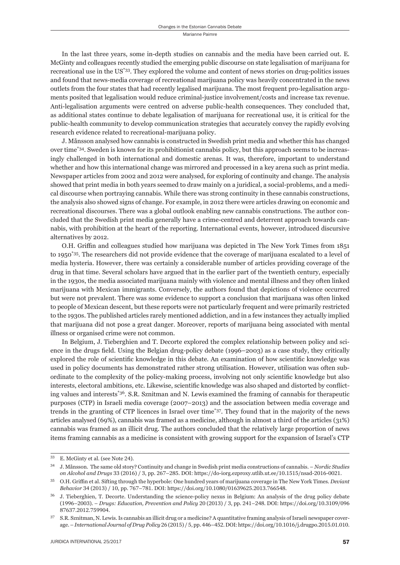In the last three years, some in-depth studies on cannabis and the media have been carried out. E. McGinty and colleagues recently studied the emerging public discourse on state legalisation of marijuana for recreational use in the US\*33. They explored the volume and content of news stories on drug-politics issues and found that news-media coverage of recreational marijuana policy was heavily concentrated in the news outlets from the four states that had recently legalised marijuana. The most frequent pro-legalisation arguments posited that legalisation would reduce criminal-justice involvement/costs and increase tax revenue. Anti-legalisation arguments were centred on adverse public-health consequences. They concluded that, as additional states continue to debate legalisation of marijuana for recreational use, it is critical for the public-health community to develop communication strategies that accurately convey the rapidly evolving research evidence related to recreational-marijuana policy.

J. Månsson analysed how cannabis is constructed in Swedish print media and whether this has changed over time\*34. Sweden is known for its prohibitionist cannabis policy, but this approach seems to be increasingly challenged in both international and domestic arenas. It was, therefore, important to understand whether and how this international change was mirrored and processed in a key arena such as print media. Newspaper articles from 2002 and 2012 were analysed, for exploring of continuity and change. The analysis showed that print media in both years seemed to draw mainly on a juridical, a social-problems, and a medical discourse when portraying cannabis. While there was strong continuity in these cannabis constructions, the analysis also showed signs of change. For example, in 2012 there were articles drawing on economic and recreational discourses. There was a global outlook enabling new cannabis constructions. The author concluded that the Swedish print media generally have a crime-centred and deterrent approach towards cannabis, with prohibition at the heart of the reporting. International events, however, introduced discursive alternatives by 2012.

O.H. Griffin and colleagues studied how marijuana was depicted in The New York Times from 1851 to 1950\*35. The researchers did not provide evidence that the coverage of marijuana escalated to a level of media hysteria. However, there was certainly a considerable number of articles providing coverage of the drug in that time. Several scholars have argued that in the earlier part of the twentieth century, especially in the 1930s, the media associated marijuana mainly with violence and mental illness and they often linked marijuana with Mexican immigrants. Conversely, the authors found that depictions of violence occurred but were not prevalent. There was some evidence to support a conclusion that marijuana was often linked to people of Mexican descent, but these reports were not particularly frequent and were primarily restricted to the 1930s. The published articles rarely mentioned addiction, and in a few instances they actually implied that marijuana did not pose a great danger. Moreover, reports of marijuana being associated with mental illness or organised crime were not common.

In Belgium, J. Tieberghien and T. Decorte explored the complex relationship between policy and science in the drugs field. Using the Belgian drug-policy debate (1996–2003) as a case study, they critically explored the role of scientific knowledge in this debate. An examination of how scientific knowledge was used in policy documents has demonstrated rather strong utilisation. However, utilisation was often subordinate to the complexity of the policy-making process, involving not only scientific knowledge but also interests, electoral ambitions, etc. Likewise, scientific knowledge was also shaped and distorted by conflicting values and interests\*36. S.R. Sznitman and N. Lewis examined the framing of cannabis for therapeutic purposes (CTP) in Israeli media coverage (2007–2013) and the association between media coverage and trends in the granting of CTP licences in Israel over time\*37. They found that in the majority of the news articles analysed (69%), cannabis was framed as a medicine, although in almost a third of the articles (31%) cannabis was framed as an illicit drug. The authors concluded that the relatively large proportion of news items framing cannabis as a medicine is consistent with growing support for the expansion of Israel's CTP

<sup>&</sup>lt;sup>33</sup> E. McGinty et al. (see Note 24).

ɴɵ J. Månsson. The same old story? Continuity and change in Swedish print media constructions of cannabis. – *Nordic Studies on Alcohol and Drugs* 33 (2016) / 3, pp. 267-285. DOI: https://do-iorg.ezproxy.utlib.ut.ee/10.1515/nsad-2016-0021.

ɴɶ O.H. Griffi n et al. Sifting through the hyperbole: One hundred years of marijuana coverage in The New York Times. *Deviant*  Behavior 34 (2013) / 10, pp. 767-781. DOI: https://doi.org/10.1080/01639625.2013.766548.

J. Tieberghien, T. Decorte. Understanding the science-policy nexus in Belgium: An analysis of the drug policy debate (1996–2003). – *Drugs: Education, Prevention and Policy* 20 (2013) / 3, pp. 241–248. DOI: https://doi.org/10.3109/096 87637.2012.759904.

 $37$  S.R. Sznitman, N. Lewis. Is cannabis an illicit drug or a medicine? A quantitative framing analysis of Israeli newspaper coverage. - *International Journal of Drug Policy* 26 (2015) / 5, pp. 446-452. DOI: https://doi.org/10.1016/j.drugpo.2015.01.010.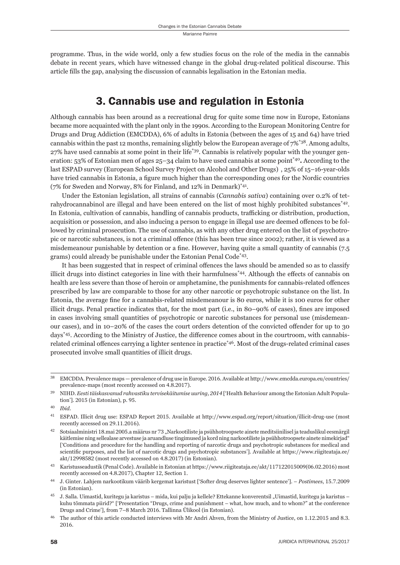programme. Thus, in the wide world, only a few studies focus on the role of the media in the cannabis debate in recent years, which have witnessed change in the global drug-related political discourse. This article fills the gap, analysing the discussion of cannabis legalisation in the Estonian media.

### 3. Cannabis use and regulation in Estonia

Although cannabis has been around as a recreational drug for quite some time now in Europe, Estonians became more acquainted with the plant only in the 1990s. According to the European Monitoring Centre for Drugs and Drug Addiction (EMCDDA), 6% of adults in Estonia (between the ages of 15 and 64) have tried cannabis within the past 12 months, remaining slightly below the European average of  $7\%$ <sup>\*38</sup>. Among adults, 27% have used cannabis at some point in their life\*39. Cannabis is relatively popular with the younger generation: 53% of Estonian men of ages 25–34 claim to have used cannabis at some point\*40**.** According to the last ESPAD survey (European School Survey Project on Alcohol and Other Drugs) , 25% of 15–16-year-olds have tried cannabis in Estonia, a figure much higher than the corresponding ones for the Nordic countries (7% for Sweden and Norway, 8% for Finland, and 12% in Denmark)<sup>\*41</sup>.

Under the Estonian legislation, all strains of cannabis (*Cannabis sativa*) containing over 0.2% of tetrahydrocannabinol are illegal and have been entered on the list of most highly prohibited substances\*42. In Estonia, cultivation of cannabis, handling of cannabis products, trafficking or distribution, production, acquisition or possession, and also inducing a person to engage in illegal use are deemed offences to be followed by criminal prosecution. The use of cannabis, as with any other drug entered on the list of psychotropic or narcotic substances, is not a criminal offence (this has been true since 2002); rather, it is viewed as a misdemeanour punishable by detention or a fine. However, having quite a small quantity of cannabis  $(7.5)$ grams) could already be punishable under the Estonian Penal Code\*43.

It has been suggested that in respect of criminal offences the laws should be amended so as to classify illicit drugs into distinct categories in line with their harmfulness<sup>\*44</sup>. Although the effects of cannabis on health are less severe than those of heroin or amphetamine, the punishments for cannabis-related offences prescribed by law are comparable to those for any other narcotic or psychotropic substance on the list. In Estonia, the average fine for a cannabis-related misdemeanour is 80 euros, while it is 100 euros for other illicit drugs. Penal practice indicates that, for the most part (i.e., in 80–90% of cases), fines are imposed in cases involving small quantities of psychotropic or narcotic substances for personal use (misdemeanour cases), and in 10-20% of the cases the court orders detention of the convicted offender for up to 30 days<sup>\*45</sup>. According to the Ministry of Justice, the difference comes about in the courtroom, with cannabisrelated criminal offences carrying a lighter sentence in practice<sup>\*46</sup>. Most of the drugs-related criminal cases prosecuted involve small quantities of illicit drugs.

<sup>&</sup>lt;sup>38</sup> EMCDDA. Prevalence maps — prevalence of drug use in Europe. 2016. Available at http://www.emcdda.europa.eu/countries/ prevalence-maps (most recently accessed on 4.8.2017).

<sup>&</sup>lt;sup>39</sup> NIHD. *Eesti täiskasvanud rahvastiku tervisekäitumise uuring, 2014* ['Health Behaviour among the Estonian Adult Population']. 2015 (in Estonian), p. 95.

ɵɱ *Ibid*.

<sup>&</sup>lt;sup>41</sup> ESPAD. Illicit drug use: ESPAD Report 2015. Available at http://www.espad.org/report/situation/illicit-drug-use (most recently accessed on 29.11.2016).

<sup>&</sup>lt;sup>42</sup> Sotsiaalministri 18.mai 2005.a määrus nr 73 "Narkootiliste ja psühhotroopsete ainete meditsiinilisel ja teaduslikul eesmärgil käitlemise ning sellealase arvestuse ja aruandluse tingimused ja kord ning narkootiliste ja psühhotroopsete ainete nimekirjad" ['Conditions and procedure for the handling and reporting of narcotic drugs and psychotropic substances for medical and scientific purposes, and the list of narcotic drugs and psychotropic substances']. Available at https://www.riigiteataja.ee/ akt/12998582 (most recently accessed on 4.8.2017) (in Estonian).

<sup>&</sup>lt;sup>43</sup> Karistusseadustik (Penal Code). Available in Estonian at https://www.riigiteataja.ee/akt/117122015009(06.02.2016) most recently accessed on 4.8.2017), Chapter 12, Section 1.

<sup>&</sup>lt;sup>44</sup> J. Ginter. Lahjem narkootikum väärib kergemat karistust ['Softer drug deserves lighter sentence']. – *Postimees*, 15.7.2009 (in Estonian).

ɵɶ J. Salla. Uimastid, kuritegu ja karistus – mida, kui palju ja kellele? Ettekanne konverentsil "Uimastid, kuritegu ja karistus – kuhu tõmmata piirid?" ['Presentation "Drugs, crime and punishment – what, how much, and to whom?" at the conference Drugs and Crime'], from 7-8 March 2016. Tallinna Ülikool (in Estonian).

<sup>&</sup>lt;sup>46</sup> The author of this article conducted interviews with Mr Andri Ahven, from the Ministry of Justice, on 1.12.2015 and 8.3. 2016.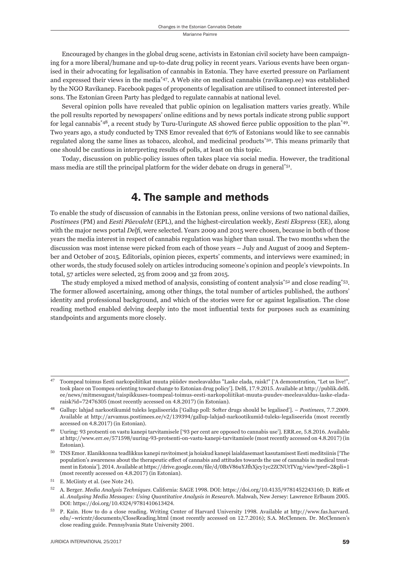Encouraged by changes in the global drug scene, activists in Estonian civil society have been campaigning for a more liberal/humane and up-to-date drug policy in recent years. Various events have been organised in their advocating for legalisation of cannabis in Estonia. They have exerted pressure on Parliament and expressed their views in the media\*47. A Web site on medical cannabis (ravikanep.ee) was established by the NGO Ravikanep. Facebook pages of proponents of legalisation are utilised to connect interested persons. The Estonian Green Party has pledged to regulate cannabis at national level.

Several opinion polls have revealed that public opinion on legalisation matters varies greatly. While the poll results reported by newspapers' online editions and by news portals indicate strong public support for legal cannabis<sup>\*48</sup>, a recent study by Turu-Uuringute AS showed fierce public opposition to the plan<sup>\*49</sup>. Two years ago, a study conducted by TNS Emor revealed that 67% of Estonians would like to see cannabis regulated along the same lines as tobacco, alcohol, and medicinal products\*50. This means primarily that one should be cautious in interpreting results of polls, at least on this topic.

Today, discussion on public-policy issues often takes place via social media. However, the traditional mass media are still the principal platform for the wider debate on drugs in general\*51.

### 4. The sample and methods

To enable the study of discussion of cannabis in the Estonian press, online versions of two national dailies, *Postimees* (PM) and *Eesti Päevaleht* (EPL), and the highest-circulation weekly, *Eesti Ekspress* (EE), along with the major news portal *Delfi*, were selected. Years 2009 and 2015 were chosen, because in both of those years the media interest in respect of cannabis regulation was higher than usual. The two months when the discussion was most intense were picked from each of those years – July and August of 2009 and September and October of 2015. Editorials, opinion pieces, experts' comments, and interviews were examined; in other words, the study focused solely on articles introducing someone's opinion and people's viewpoints. In total, 57 articles were selected, 25 from 2009 and 32 from 2015.

The study employed a mixed method of analysis, consisting of content analysis\*52 and close reading\*53. The former allowed ascertaining, among other things, the total number of articles published, the authors' identity and professional background, and which of the stories were for or against legalisation. The close reading method enabled delving deeply into the most influential texts for purposes such as examining standpoints and arguments more closely.

ɵɸ Toompeal toimus Eesti narkopoliitikat muuta püüdev meeleavaldus "Laske elada, raisk!" ['A demonstration, "Let us live!", took place on Toompea orienting toward change to Estonian drug policy']. Delfi, 17.9.2015. Available at http://publik.delfi. ee/news/mitmesugust/taispikkuses-toompeal-toimus-eesti-narkopoliitikat-muuta-puudev-meeleavaldus-laske-eladaraisk?id=72476305 (most recently accessed on 4.8.2017) (in Estonian).

Gallup: lahjad narkootikumid tuleks legaliseerida ['Gallup poll: Softer drugs should be legalised']. – Postimees, 7.7.2009. Available at http://arvamus.postimees.ee/v2/139394/gallup-lahjad-narkootikumid-tuleks-legaliseerida (most recently accessed on 4.8.2017) (in Estonian).

Uuring: 93 protsenti on vastu kanepi tarvitamisele ['93 per cent are opposed to cannabis use']. ERR.ee, 5.8.2016. Available at http://www.err.ee/571598/uuring-93-protsenti-on-vastu-kanepi-tarvitamisele (most recently accessed on 4.8.2017) (in Estonian).

ɶɱ TNS Emor. Elanikkonna teadlikkus kanepi ravitoimest ja hoiakud kanepi laialdasemast kasutamisest Eesti meditsiinis ['The population's awareness about the therapeutic effect of cannabis and attitudes towards the use of cannabis in medical treatment in Estonia']. 2014. Available at https://drive.google.com/file/d/0BxV86uYJfhXjcy1yc2ZCNUtTVzg/view?pref=2&pli=1 (most recently accessed on 4.8.2017) (in Estonian).

<sup>&</sup>lt;sup>51</sup> E. McGinty et al. (see Note 24).

A. Berger. *Media Analysis Techniques*. California: SAGE 1998. DOI: https://doi.org/10.4135/9781452243160; D. Riffe et al. *Analysing Media Messages: Using Quantitative Analysis in Research*. Mahwah, New Jersey: Lawrence Erlbaum 2005. DOI: https://doi.org/10.4324/9781410613424.

<sup>53</sup> P. Kain. How to do a close reading. Writing Center of Harvard University 1998. Available at http://www.fas.harvard. edu/~wricntr/documents/CloseReading.html (most recently accessed on 12.7.2016); S.A. McClennen. Dr. McClennen's close reading guide. Pennsylvania State University 2001.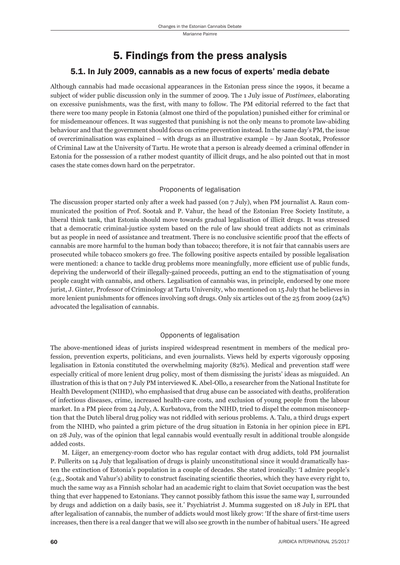# 5. Findings from the press analysis

### 5.1. In July 2009, cannabis as a new focus of experts' media debate

Although cannabis had made occasional appearances in the Estonian press since the 1990s, it became a subject of wider public discussion only in the summer of 2009. The 1 July issue of *Postimees*, elaborating on excessive punishments, was the first, with many to follow. The PM editorial referred to the fact that there were too many people in Estonia (almost one third of the population) punished either for criminal or for misdemeanour offences. It was suggested that punishing is not the only means to promote law-abiding behaviour and that the government should focus on crime prevention instead. In the same day's PM, the issue of overcriminalisation was explained – with drugs as an illustrative example – by Jaan Sootak, Professor of Criminal Law at the University of Tartu. He wrote that a person is already deemed a criminal offender in Estonia for the possession of a rather modest quantity of illicit drugs, and he also pointed out that in most cases the state comes down hard on the perpetrator.

#### Proponents of legalisation

The discussion proper started only after a week had passed (on 7 July), when PM journalist A. Raun communicated the position of Prof. Sootak and P. Vahur, the head of the Estonian Free Society Institute, a liberal think tank, that Estonia should move towards gradual legalisation of illicit drugs. It was stressed that a democratic criminal-justice system based on the rule of law should treat addicts not as criminals but as people in need of assistance and treatment. There is no conclusive scientific proof that the effects of cannabis are more harmful to the human body than tobacco; therefore, it is not fair that cannabis users are prosecuted while tobacco smokers go free. The following positive aspects entailed by possible legalisation were mentioned: a chance to tackle drug problems more meaningfully, more efficient use of public funds, depriving the underworld of their illegally-gained proceeds, putting an end to the stigmatisation of young people caught with cannabis, and others. Legalisation of cannabis was, in principle, endorsed by one more jurist, J. Ginter, Professor of Criminology at Tartu University, who mentioned on 15 July that he believes in more lenient punishments for offences involving soft drugs. Only six articles out of the 25 from 2009 (24%) advocated the legalisation of cannabis.

#### Opponents of legalisation

The above-mentioned ideas of jurists inspired widespread resentment in members of the medical profession, prevention experts, politicians, and even journalists. Views held by experts vigorously opposing legalisation in Estonia constituted the overwhelming majority (82%). Medical and prevention staff were especially critical of more lenient drug policy, most of them dismissing the jurists' ideas as misguided. An illustration of this is that on 7 July PM interviewed K. Abel-Ollo, a researcher from the National Institute for Health Development (NIHD), who emphasised that drug abuse can be associated with deaths, proliferation of infectious diseases, crime, increased health-care costs, and exclusion of young people from the labour market. In a PM piece from 24 July, A. Kurbatova, from the NIHD, tried to dispel the common misconception that the Dutch liberal drug policy was not riddled with serious problems. A. Talu, a third drugs expert from the NIHD, who painted a grim picture of the drug situation in Estonia in her opinion piece in EPL on 28 July, was of the opinion that legal cannabis would eventually result in additional trouble alongside added costs.

M. Liiger, an emergency-room doctor who has regular contact with drug addicts, told PM journalist P. Pullerits on 14 July that legalisation of drugs is plainly unconstitutional since it would dramatically hasten the extinction of Estonia's population in a couple of decades. She stated ironically: 'I admire people's (e.g., Sootak and Vahur's) ability to construct fascinating scientific theories, which they have every right to, much the same way as a Finnish scholar had an academic right to claim that Soviet occupation was the best thing that ever happened to Estonians. They cannot possibly fathom this issue the same way I, surrounded by drugs and addiction on a daily basis, see it.' Psychiatrist J. Mumma suggested on 18 July in EPL that after legalisation of cannabis, the number of addicts would most likely grow: 'If the share of first-time users increases, then there is a real danger that we will also see growth in the number of habitual users.' He agreed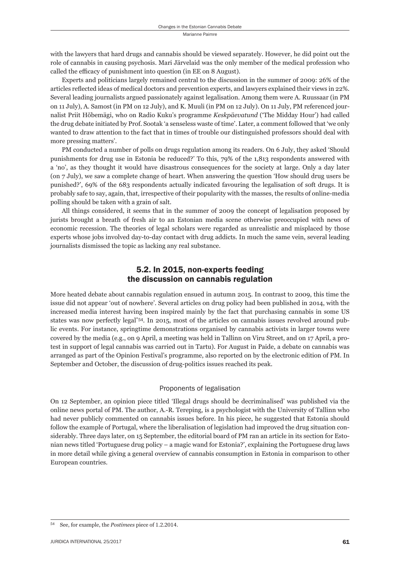with the lawyers that hard drugs and cannabis should be viewed separately. However, he did point out the role of cannabis in causing psychosis. Mari Järvelaid was the only member of the medical profession who called the efficacy of punishment into question (in EE on 8 August).

Experts and politicians largely remained central to the discussion in the summer of 2009: 26% of the articles reflected ideas of medical doctors and prevention experts, and lawyers explained their views in 22%. Several leading journalists argued passionately against legalisation. Among them were A. Ruussaar (in PM on 11 July), A. Samost (in PM on 12 July), and K. Muuli (in PM on 12 July). On 11 July, PM referenced journalist Priit Hõbemägi, who on Radio Kuku's programme *Keskpäevatund* ('The Midday Hour') had called the drug debate initiated by Prof. Sootak 'a senseless waste of time'. Later, a comment followed that 'we only wanted to draw attention to the fact that in times of trouble our distinguished professors should deal with more pressing matters'.

PM conducted a number of polls on drugs regulation among its readers. On 6 July, they asked 'Should punishments for drug use in Estonia be reduced?' To this, 79% of the 1,813 respondents answered with a 'no', as they thought it would have disastrous consequences for the society at large. Only a day later (on 7 July), we saw a complete change of heart. When answering the question 'How should drug users be punished?', 69% of the 683 respondents actually indicated favouring the legalisation of soft drugs. It is probably safe to say, again, that, irrespective of their popularity with the masses, the results of online-media polling should be taken with a grain of salt.

All things considered, it seems that in the summer of 2009 the concept of legalisation proposed by jurists brought a breath of fresh air to an Estonian media scene otherwise preoccupied with news of economic recession. The theories of legal scholars were regarded as unrealistic and misplaced by those experts whose jobs involved day-to-day contact with drug addicts. In much the same vein, several leading journalists dismissed the topic as lacking any real substance.

### 5.2. In 2015, non-experts feeding the discussion on cannabis regulation

More heated debate about cannabis regulation ensued in autumn 2015. In contrast to 2009, this time the issue did not appear 'out of nowhere'. Several articles on drug policy had been published in 2014, with the increased media interest having been inspired mainly by the fact that purchasing cannabis in some US states was now perfectly legal\*54. In 2015, most of the articles on cannabis issues revolved around public events. For instance, springtime demonstrations organised by cannabis activists in larger towns were covered by the media (e.g., on 9 April, a meeting was held in Tallinn on Viru Street, and on 17 April, a protest in support of legal cannabis was carried out in Tartu). For August in Paide, a debate on cannabis was arranged as part of the Opinion Festival's programme, also reported on by the electronic edition of PM. In September and October, the discussion of drug-politics issues reached its peak.

#### Proponents of legalisation

On 12 September, an opinion piece titled 'Illegal drugs should be decriminalised' was published via the online news portal of PM. The author, A.-R. Tereping, is a psychologist with the University of Tallinn who had never publicly commented on cannabis issues before. In his piece, he suggested that Estonia should follow the example of Portugal, where the liberalisation of legislation had improved the drug situation considerably. Three days later, on 15 September, the editorial board of PM ran an article in its section for Estonian news titled 'Portuguese drug policy – a magic wand for Estonia?', explaining the Portuguese drug laws in more detail while giving a general overview of cannabis consumption in Estonia in comparison to other European countries.

<sup>54</sup> See, for example, the *Postimees* piece of 1.2.2014.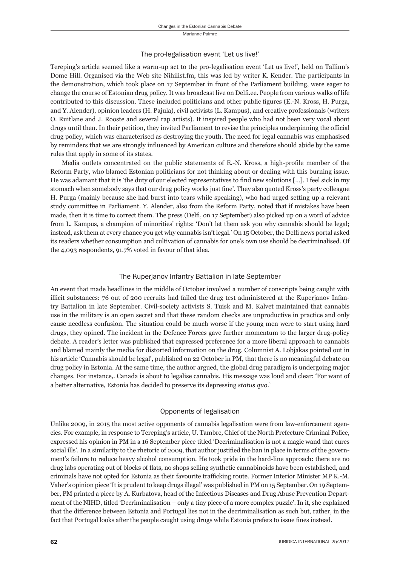#### The pro-legalisation event 'Let us live!'

Tereping's article seemed like a warm-up act to the pro-legalisation event 'Let us live!', held on Tallinn's Dome Hill. Organised via the Web site Nihilist.fm, this was led by writer K. Kender. The participants in the demonstration, which took place on 17 September in front of the Parliament building, were eager to change the course of Estonian drug policy. It was broadcast live on Delfi ee. People from various walks of life contributed to this discussion. These included politicians and other public figures (E.-N. Kross, H. Purga, and Y. Alender), opinion leaders (H. Pajula), civil activists (L. Kampus), and creative professionals (writers O. Ruitlane and J. Rooste and several rap artists). It inspired people who had not been very vocal about drugs until then. In their petition, they invited Parliament to revise the principles underpinning the official drug policy, which was characterised as destroying the youth. The need for legal cannabis was emphasised by reminders that we are strongly influenced by American culture and therefore should abide by the same rules that apply in some of its states.

Media outlets concentrated on the public statements of E.-N. Kross, a high-profile member of the Reform Party, who blamed Estonian politicians for not thinking about or dealing with this burning issue. He was adamant that it is 'the duty of our elected representatives to find new solutions  $[\dots]$ . I feel sick in my stomach when somebody says that our drug policy works just fine'. They also quoted Kross's party colleague H. Purga (mainly because she had burst into tears while speaking), who had urged setting up a relevant study committee in Parliament. Y. Alender, also from the Reform Party, noted that if mistakes have been made, then it is time to correct them. The press (Delfi, on 17 September) also picked up on a word of advice from L. Kampus, a champion of minorities' rights: 'Don't let them ask you why cannabis should be legal; instead, ask them at every chance you get why cannabis isn't legal.' On 15 October, the Delfi news portal asked its readers whether consumption and cultivation of cannabis for one's own use should be decriminalised. Of the 4,093 respondents, 91.7% voted in favour of that idea.

#### The Kuperjanov Infantry Battalion in late September

An event that made headlines in the middle of October involved a number of conscripts being caught with illicit substances: 76 out of 200 recruits had failed the drug test administered at the Kuperjanov Infantry Battalion in late September. Civil-society activists S. Tuisk and M. Kalvet maintained that cannabis use in the military is an open secret and that these random checks are unproductive in practice and only cause needless confusion. The situation could be much worse if the young men were to start using hard drugs, they opined. The incident in the Defence Forces gave further momentum to the larger drug-policy debate. A reader's letter was published that expressed preference for a more liberal approach to cannabis and blamed mainly the media for distorted information on the drug. Columnist A. Lobjakas pointed out in his article 'Cannabis should be legal', published on 22 October in PM, that there is no meaningful debate on drug policy in Estonia. At the same time, the author argued, the global drug paradigm is undergoing major changes. For instance,. Canada is about to legalise cannabis. His message was loud and clear: 'For want of a better alternative, Estonia has decided to preserve its depressing *status quo*.'

#### Opponents of legalisation

Unlike 2009, in 2015 the most active opponents of cannabis legalisation were from law-enforcement agencies. For example, in response to Tereping's article, U. Tambre, Chief of the North Prefecture Criminal Police, expressed his opinion in PM in a 16 September piece titled 'Decriminalisation is not a magic wand that cures social ills'. In a similarity to the rhetoric of 2009, that author justified the ban in place in terms of the government's failure to reduce heavy alcohol consumption. He took pride in the hard-line approach: there are no drug labs operating out of blocks of flats, no shops selling synthetic cannabinoids have been established, and criminals have not opted for Estonia as their favourite trafficking route. Former Interior Minister MP K.-M. Vaher's opinion piece 'It is prudent to keep drugs illegal' was published in PM on 15 September. On 19 September, PM printed a piece by A. Kurbatova, head of the Infectious Diseases and Drug Abuse Prevention Department of the NIHD, titled 'Decriminalisation – only a tiny piece of a more complex puzzle'. In it, she explained that the diff erence between Estonia and Portugal lies not in the decriminalisation as such but, rather, in the fact that Portugal looks after the people caught using drugs while Estonia prefers to issue fines instead.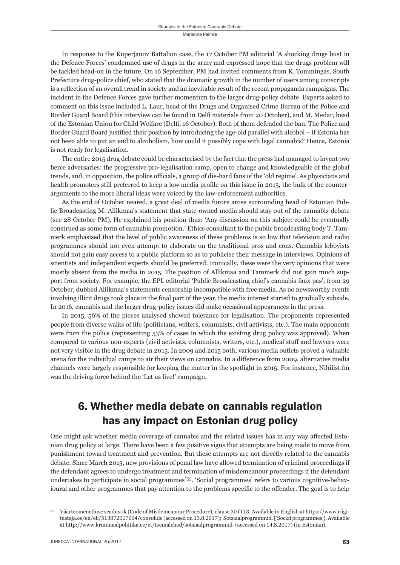In response to the Kuperjanov Battalion case, the 17 October PM editorial 'A shocking drugs bust in the Defence Forces' condemned use of drugs in the army and expressed hope that the drugs problem will be tackled head-on in the future. On 16 September, PM had invited comments from K. Tommingas, South Prefecture drug-police chief, who stated that the dramatic growth in the number of users among conscripts is a reflection of an overall trend in society and an inevitable result of the recent propaganda campaigns. The incident in the Defence Forces gave further momentum to the larger drug-policy debate. Experts asked to comment on this issue included L. Laur, head of the Drugs and Organised Crime Bureau of the Police and Border Guard Board (this interview can be found in Delfi materials from 20 October), and M. Medar, head of the Estonian Union for Child Welfare (Delfi , 16 October). Both of them defended the ban. The Police and Border Guard Board justified their position by introducing the age-old parallel with alcohol – if Estonia has not been able to put an end to alcoholism, how could it possibly cope with legal cannabis? Hence, Estonia is not ready for legalisation.

The entire 2015 drug debate could be characterised by the fact that the press had managed to invent two fierce adversaries: the progressive pro-legalisation camp, open to change and knowledgeable of the global trends, and, in opposition, the police officials, a group of die-hard fans of the 'old regime'. As physicians and health promoters still preferred to keep a low media profile on this issue in 2015, the bulk of the counterarguments to the more liberal ideas were voiced by the law-enforcement authorities.

As the end of October neared, a great deal of media furore arose surrounding head of Estonian Public Broadcasting M. Allikmaa's statement that state-owned media should stay out of the cannabis debate (see 28 October PM). He explained his position thus: 'Any discussion on this subject could be eventually construed as some form of cannabis promotion.' Ethics consultant to the public broadcasting body T. Tammerk emphasised that the level of public awareness of these problems is so low that television and radio programmes should not even attempt to elaborate on the traditional pros and cons. Cannabis lobbyists should not gain easy access to a public platform so as to publicise their message in interviews. Opinions of scientists and independent experts should be preferred. Ironically, these were the very opinions that were mostly absent from the media in 2015. The position of Allikmaa and Tammerk did not gain much support from society. For example, the EPL editorial 'Public Broadcasting chief's cannabis faux pas', from 29 October, dubbed Allikmaa's statements censorship incompatible with free media. As no newsworthy events involving illicit drugs took place in the final part of the year, the media interest started to gradually subside. In 2016, cannabis and the larger drug-policy issues did make occasional appearances in the press.

In 2015, 56% of the pieces analysed showed tolerance for legalisation. The proponents represented people from diverse walks of life (politicians, writers, columnists, civil activists, etc.). The main opponents were from the police (representing 53% of cases in which the existing drug policy was approved). When compared to various non-experts (civil activists, columnists, writers, etc.), medical stuff and lawyers were not very visible in the drug debate in 2015. In 2009 and 2015 both, various media outlets proved a valuable arena for the individual camps to air their views on cannabis. In a difference from 2009, alternative media channels were largely responsible for keeping the matter in the spotlight in 2015. For instance, Nihilist.fm was the driving force behind the 'Let us live!' campaign.

### 6. Whether media debate on cannabis regulation has any impact on Estonian drug policy

One might ask whether media coverage of cannabis and the related issues has in any way affected Estonian drug policy at large. There have been a few positive signs that attempts are being made to move from punishment toward treatment and prevention. But these attempts are not directly related to the cannabis debate. Since March 2015, new provisions of penal law have allowed termination of criminal proceedings if the defendant agrees to undergo treatment and termination of misdemeanour proceedings if the defendant undertakes to participate in social programmes\*55. 'Social programmes' refers to various cognitive-behavioural and other programmes that pay attention to the problems specific to the offender. The goal is to help

<sup>&</sup>lt;sup>55</sup> Väärteomenetluse seadustik (Code of Misdemeanour Procedure), clause 30 (1) 3. Available in English at https://www.riigiteataja.ee/en/eli/513072017004/consolide (accessed on 13.8.2017); Sotsiaalprogrammid. ['Social programmes']. Available at http://www.kriminaalpoliitika.ee/et/teemalehed/sotsiaalprogrammid (accessed on 14.8.2017) (in Estonian).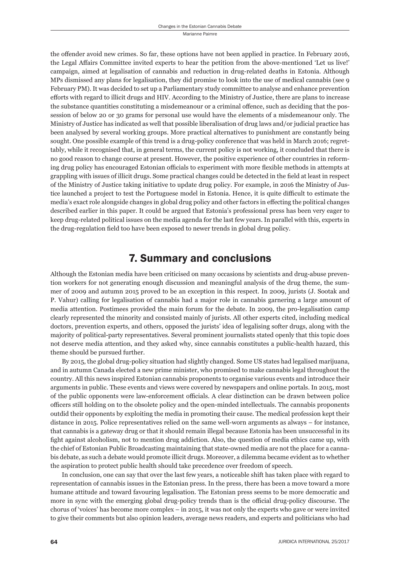the offender avoid new crimes. So far, these options have not been applied in practice. In February 2016, the Legal Affairs Committee invited experts to hear the petition from the above-mentioned 'Let us live!' campaign, aimed at legalisation of cannabis and reduction in drug-related deaths in Estonia. Although MPs dismissed any plans for legalisation, they did promise to look into the use of medical cannabis (see 9 February PM). It was decided to set up a Parliamentary study committee to analyse and enhance prevention efforts with regard to illicit drugs and HIV. According to the Ministry of Justice, there are plans to increase the substance quantities constituting a misdemeanour or a criminal offence, such as deciding that the possession of below 20 or 30 grams for personal use would have the elements of a misdemeanour only. The Ministry of Justice has indicated as well that possible liberalisation of drug laws and/or judicial practice has been analysed by several working groups. More practical alternatives to punishment are constantly being sought. One possible example of this trend is a drug-policy conference that was held in March 2016; regrettably, while it recognised that, in general terms, the current policy is not working, it concluded that there is no good reason to change course at present. However, the positive experience of other countries in reforming drug policy has encouraged Estonian officials to experiment with more flexible methods in attempts at grappling with issues of illicit drugs. Some practical changes could be detected in the field at least in respect of the Ministry of Justice taking initiative to update drug policy. For example, in 2016 the Ministry of Justice launched a project to test the Portuguese model in Estonia. Hence, it is quite difficult to estimate the media's exact role alongside changes in global drug policy and other factors in effecting the political changes described earlier in this paper. It could be argued that Estonia's professional press has been very eager to keep drug-related political issues on the media agenda for the last few years. In parallel with this, experts in the drug-regulation field too have been exposed to newer trends in global drug policy.

### 7. Summary and conclusions

Although the Estonian media have been criticised on many occasions by scientists and drug-abuse prevention workers for not generating enough discussion and meaningful analysis of the drug theme, the summer of 2009 and autumn 2015 proved to be an exception in this respect. In 2009, jurists (J. Sootak and P. Vahur) calling for legalisation of cannabis had a major role in cannabis garnering a large amount of media attention. Postimees provided the main forum for the debate. In 2009, the pro-legalisation camp clearly represented the minority and consisted mainly of jurists. All other experts cited, including medical doctors, prevention experts, and others, opposed the jurists' idea of legalising softer drugs, along with the majority of political-party representatives. Several prominent journalists stated openly that this topic does not deserve media attention, and they asked why, since cannabis constitutes a public-health hazard, this theme should be pursued further.

By 2015, the global drug-policy situation had slightly changed. Some US states had legalised marijuana, and in autumn Canada elected a new prime minister, who promised to make cannabis legal throughout the country. All this news inspired Estonian cannabis proponents to organise various events and introduce their arguments in public. These events and views were covered by newspapers and online portals. In 2015, most of the public opponents were law-enforcement officials. A clear distinction can be drawn between police officers still holding on to the obsolete policy and the open-minded intellectuals. The cannabis proponents outdid their opponents by exploiting the media in promoting their cause. The medical profession kept their distance in 2015. Police representatives relied on the same well-worn arguments as always – for instance, that cannabis is a gateway drug or that it should remain illegal because Estonia has been unsuccessful in its fight against alcoholism, not to mention drug addiction. Also, the question of media ethics came up, with the chief of Estonian Public Broadcasting maintaining that state-owned media are not the place for a cannabis debate, as such a debate would promote illicit drugs. Moreover, a dilemma became evident as to whether the aspiration to protect public health should take precedence over freedom of speech.

In conclusion, one can say that over the last few years, a noticeable shift has taken place with regard to representation of cannabis issues in the Estonian press. In the press, there has been a move toward a more humane attitude and toward favouring legalisation. The Estonian press seems to be more democratic and more in sync with the emerging global drug-policy trends than is the official drug-policy discourse. The chorus of 'voices' has become more complex – in 2015, it was not only the experts who gave or were invited to give their comments but also opinion leaders, average news readers, and experts and politicians who had